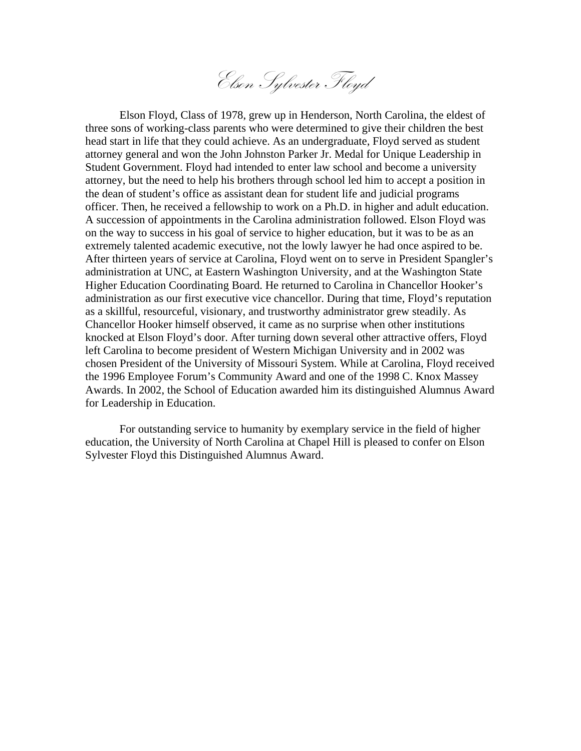Elson Sylvester Floyd

Elson Floyd, Class of 1978, grew up in Henderson, North Carolina, the eldest of three sons of working-class parents who were determined to give their children the best head start in life that they could achieve. As an undergraduate, Floyd served as student attorney general and won the John Johnston Parker Jr. Medal for Unique Leadership in Student Government. Floyd had intended to enter law school and become a university attorney, but the need to help his brothers through school led him to accept a position in the dean of student's office as assistant dean for student life and judicial programs officer. Then, he received a fellowship to work on a Ph.D. in higher and adult education. A succession of appointments in the Carolina administration followed. Elson Floyd was on the way to success in his goal of service to higher education, but it was to be as an extremely talented academic executive, not the lowly lawyer he had once aspired to be. After thirteen years of service at Carolina, Floyd went on to serve in President Spangler's administration at UNC, at Eastern Washington University, and at the Washington State Higher Education Coordinating Board. He returned to Carolina in Chancellor Hooker's administration as our first executive vice chancellor. During that time, Floyd's reputation as a skillful, resourceful, visionary, and trustworthy administrator grew steadily. As Chancellor Hooker himself observed, it came as no surprise when other institutions knocked at Elson Floyd's door. After turning down several other attractive offers, Floyd left Carolina to become president of Western Michigan University and in 2002 was chosen President of the University of Missouri System. While at Carolina, Floyd received the 1996 Employee Forum's Community Award and one of the 1998 C. Knox Massey Awards. In 2002, the School of Education awarded him its distinguished Alumnus Award for Leadership in Education.

For outstanding service to humanity by exemplary service in the field of higher education, the University of North Carolina at Chapel Hill is pleased to confer on Elson Sylvester Floyd this Distinguished Alumnus Award.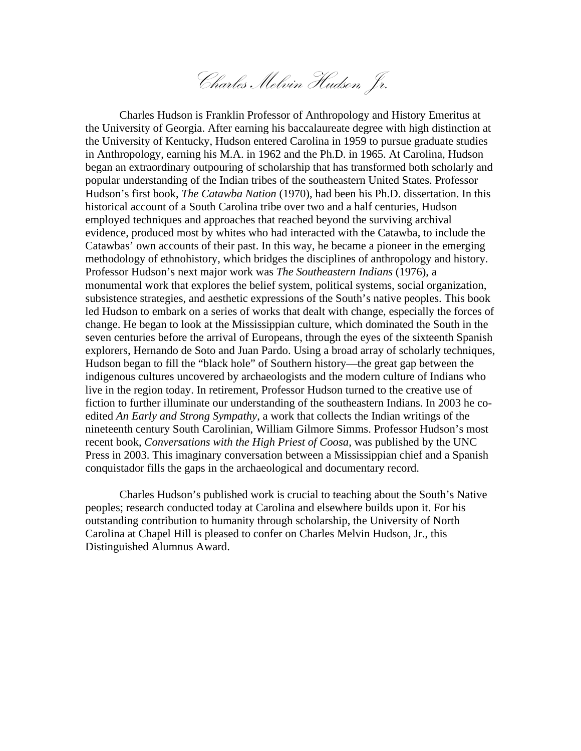Charles Melvin Hudson, Jr.

Charles Hudson is Franklin Professor of Anthropology and History Emeritus at the University of Georgia. After earning his baccalaureate degree with high distinction at the University of Kentucky, Hudson entered Carolina in 1959 to pursue graduate studies in Anthropology, earning his M.A. in 1962 and the Ph.D. in 1965. At Carolina, Hudson began an extraordinary outpouring of scholarship that has transformed both scholarly and popular understanding of the Indian tribes of the southeastern United States. Professor Hudson's first book, *The Catawba Nation* (1970), had been his Ph.D. dissertation. In this historical account of a South Carolina tribe over two and a half centuries, Hudson employed techniques and approaches that reached beyond the surviving archival evidence, produced most by whites who had interacted with the Catawba, to include the Catawbas' own accounts of their past. In this way, he became a pioneer in the emerging methodology of ethnohistory, which bridges the disciplines of anthropology and history. Professor Hudson's next major work was *The Southeastern Indians* (1976), a monumental work that explores the belief system, political systems, social organization, subsistence strategies, and aesthetic expressions of the South's native peoples. This book led Hudson to embark on a series of works that dealt with change, especially the forces of change. He began to look at the Mississippian culture, which dominated the South in the seven centuries before the arrival of Europeans, through the eyes of the sixteenth Spanish explorers, Hernando de Soto and Juan Pardo. Using a broad array of scholarly techniques, Hudson began to fill the "black hole" of Southern history—the great gap between the indigenous cultures uncovered by archaeologists and the modern culture of Indians who live in the region today. In retirement, Professor Hudson turned to the creative use of fiction to further illuminate our understanding of the southeastern Indians. In 2003 he coedited *An Early and Strong Sympathy*, a work that collects the Indian writings of the nineteenth century South Carolinian, William Gilmore Simms. Professor Hudson's most recent book, *Conversations with the High Priest of Coosa*, was published by the UNC Press in 2003. This imaginary conversation between a Mississippian chief and a Spanish conquistador fills the gaps in the archaeological and documentary record.

Charles Hudson's published work is crucial to teaching about the South's Native peoples; research conducted today at Carolina and elsewhere builds upon it. For his outstanding contribution to humanity through scholarship, the University of North Carolina at Chapel Hill is pleased to confer on Charles Melvin Hudson, Jr., this Distinguished Alumnus Award.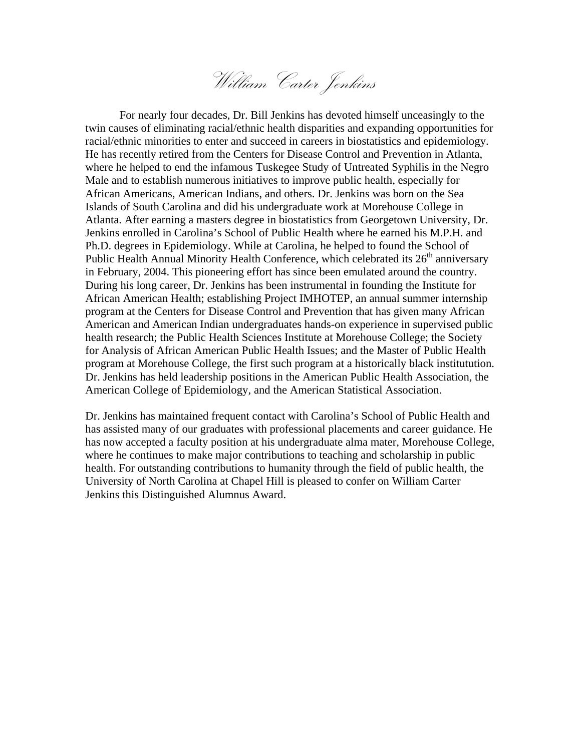William Carter Jenkins

 For nearly four decades, Dr. Bill Jenkins has devoted himself unceasingly to the twin causes of eliminating racial/ethnic health disparities and expanding opportunities for racial/ethnic minorities to enter and succeed in careers in biostatistics and epidemiology. He has recently retired from the Centers for Disease Control and Prevention in Atlanta, where he helped to end the infamous Tuskegee Study of Untreated Syphilis in the Negro Male and to establish numerous initiatives to improve public health, especially for African Americans, American Indians, and others. Dr. Jenkins was born on the Sea Islands of South Carolina and did his undergraduate work at Morehouse College in Atlanta. After earning a masters degree in biostatistics from Georgetown University, Dr. Jenkins enrolled in Carolina's School of Public Health where he earned his M.P.H. and Ph.D. degrees in Epidemiology. While at Carolina, he helped to found the School of Public Health Annual Minority Health Conference, which celebrated its  $26<sup>th</sup>$  anniversary in February, 2004. This pioneering effort has since been emulated around the country. During his long career, Dr. Jenkins has been instrumental in founding the Institute for African American Health; establishing Project IMHOTEP, an annual summer internship program at the Centers for Disease Control and Prevention that has given many African American and American Indian undergraduates hands-on experience in supervised public health research; the Public Health Sciences Institute at Morehouse College; the Society for Analysis of African American Public Health Issues; and the Master of Public Health program at Morehouse College, the first such program at a historically black institutution. Dr. Jenkins has held leadership positions in the American Public Health Association, the American College of Epidemiology, and the American Statistical Association.

Dr. Jenkins has maintained frequent contact with Carolina's School of Public Health and has assisted many of our graduates with professional placements and career guidance. He has now accepted a faculty position at his undergraduate alma mater, Morehouse College, where he continues to make major contributions to teaching and scholarship in public health. For outstanding contributions to humanity through the field of public health, the University of North Carolina at Chapel Hill is pleased to confer on William Carter Jenkins this Distinguished Alumnus Award.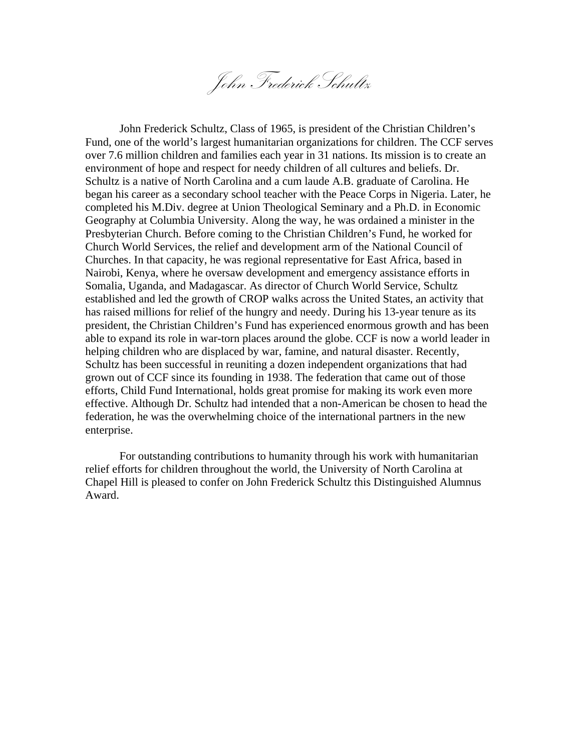John Frederick Schultz

John Frederick Schultz, Class of 1965, is president of the Christian Children's Fund, one of the world's largest humanitarian organizations for children. The CCF serves over 7.6 million children and families each year in 31 nations. Its mission is to create an environment of hope and respect for needy children of all cultures and beliefs. Dr. Schultz is a native of North Carolina and a cum laude A.B. graduate of Carolina. He began his career as a secondary school teacher with the Peace Corps in Nigeria. Later, he completed his M.Div. degree at Union Theological Seminary and a Ph.D. in Economic Geography at Columbia University. Along the way, he was ordained a minister in the Presbyterian Church. Before coming to the Christian Children's Fund, he worked for Church World Services, the relief and development arm of the National Council of Churches. In that capacity, he was regional representative for East Africa, based in Nairobi, Kenya, where he oversaw development and emergency assistance efforts in Somalia, Uganda, and Madagascar. As director of Church World Service, Schultz established and led the growth of CROP walks across the United States, an activity that has raised millions for relief of the hungry and needy. During his 13-year tenure as its president, the Christian Children's Fund has experienced enormous growth and has been able to expand its role in war-torn places around the globe. CCF is now a world leader in helping children who are displaced by war, famine, and natural disaster. Recently, Schultz has been successful in reuniting a dozen independent organizations that had grown out of CCF since its founding in 1938. The federation that came out of those efforts, Child Fund International, holds great promise for making its work even more effective. Although Dr. Schultz had intended that a non-American be chosen to head the federation, he was the overwhelming choice of the international partners in the new enterprise.

 For outstanding contributions to humanity through his work with humanitarian relief efforts for children throughout the world, the University of North Carolina at Chapel Hill is pleased to confer on John Frederick Schultz this Distinguished Alumnus Award.